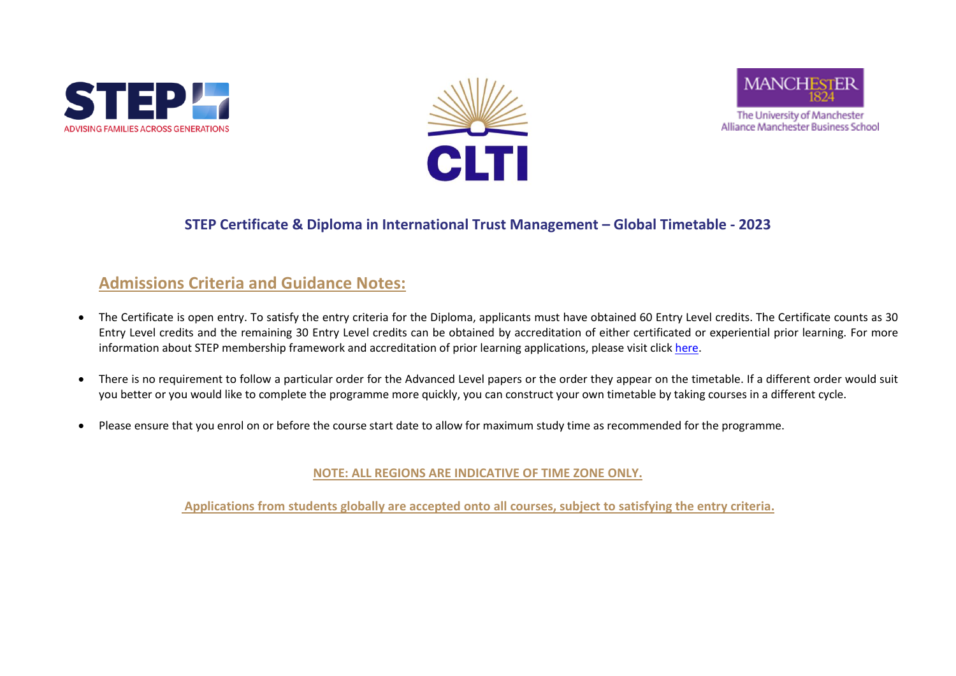





Alliance Manchester Business School

## **STEP Certificate & Diploma in International Trust Management – Global Timetable - 2023**

## **Admissions Criteria and Guidance Notes:**

- The Certificate is open entry. To satisfy the entry criteria for the Diploma, applicants must have obtained 60 Entry Level credits. The Certificate counts as 30 Entry Level credits and the remaining 30 Entry Level credits can be obtained by accreditation of either certificated or experiential prior learning. For more information about STEP membership framework and accreditation of prior learning applications, please visit clic[k here.](https://www.cltint.com/step-qualifications-and-membership)
- There is no requirement to follow a particular order for the Advanced Level papers or the order they appear on the timetable. If a different order would suit you better or you would like to complete the programme more quickly, you can construct your own timetable by taking courses in a different cycle.
- Please ensure that you enrol on or before the course start date to allow for maximum study time as recommended for the programme.

**NOTE: ALL REGIONS ARE INDICATIVE OF TIME ZONE ONLY.** 

**Applications from students globally are accepted onto all courses, subject to satisfying the entry criteria.**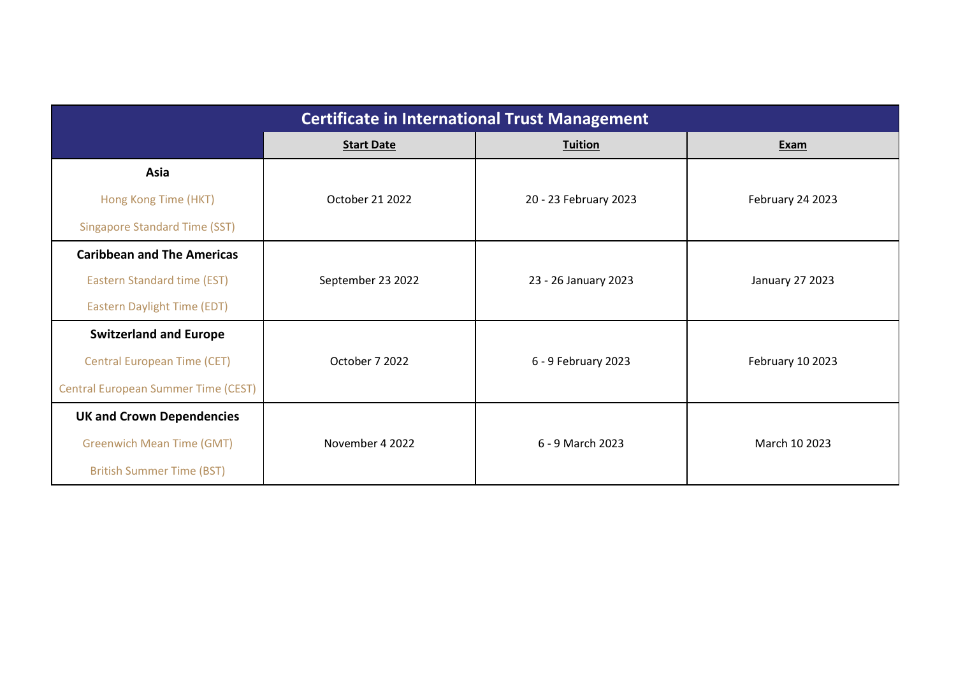| <b>Certificate in International Trust Management</b> |                   |                       |                        |
|------------------------------------------------------|-------------------|-----------------------|------------------------|
|                                                      | <b>Start Date</b> | <b>Tuition</b>        | Exam                   |
| Asia                                                 |                   |                       |                        |
| Hong Kong Time (HKT)                                 | October 21 2022   | 20 - 23 February 2023 | February 24 2023       |
| <b>Singapore Standard Time (SST)</b>                 |                   |                       |                        |
| <b>Caribbean and The Americas</b>                    |                   |                       |                        |
| <b>Eastern Standard time (EST)</b>                   | September 23 2022 | 23 - 26 January 2023  | <b>January 27 2023</b> |
| <b>Eastern Daylight Time (EDT)</b>                   |                   |                       |                        |
| <b>Switzerland and Europe</b>                        |                   |                       |                        |
| <b>Central European Time (CET)</b>                   | October 7 2022    | 6 - 9 February 2023   | February 10 2023       |
| <b>Central European Summer Time (CEST)</b>           |                   |                       |                        |
| <b>UK and Crown Dependencies</b>                     |                   |                       |                        |
| <b>Greenwich Mean Time (GMT)</b>                     | November 4 2022   | 6 - 9 March 2023      | March 10 2023          |
| <b>British Summer Time (BST)</b>                     |                   |                       |                        |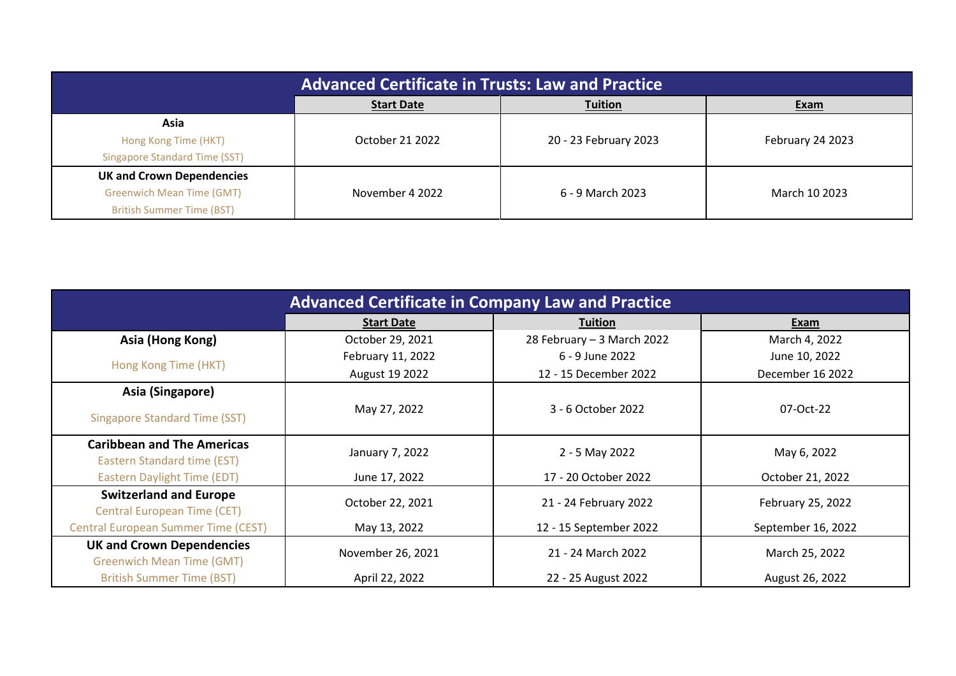|                                      | <b>Advanced Certificate in Trusts: Law and Practice</b> |                       |                  |
|--------------------------------------|---------------------------------------------------------|-----------------------|------------------|
|                                      | <b>Start Date</b>                                       | <b>Tuition</b>        | Exam             |
| Asia                                 |                                                         |                       |                  |
| Hong Kong Time (HKT)                 | October 21 2022                                         | 20 - 23 February 2023 | February 24 2023 |
| <b>Singapore Standard Time (SST)</b> |                                                         |                       |                  |
| <b>UK and Crown Dependencies</b>     |                                                         |                       |                  |
| <b>Greenwich Mean Time (GMT)</b>     | November 4 2022                                         | 6 - 9 March 2023      | March 10 2023    |
| <b>British Summer Time (BST)</b>     |                                                         |                       |                  |

| <b>Advanced Certificate in Company Law and Practice</b>              |                   |                            |                    |
|----------------------------------------------------------------------|-------------------|----------------------------|--------------------|
|                                                                      | <b>Start Date</b> | <b>Tuition</b>             | Exam               |
| Asia (Hong Kong)                                                     | October 29, 2021  | 28 February - 3 March 2022 | March 4, 2022      |
| Hong Kong Time (HKT)                                                 | February 11, 2022 | 6 - 9 June 2022            | June 10, 2022      |
|                                                                      | August 19 2022    | 12 - 15 December 2022      | December 16 2022   |
| Asia (Singapore)                                                     |                   |                            |                    |
| <b>Singapore Standard Time (SST)</b>                                 | May 27, 2022      | 3 - 6 October 2022         | 07-Oct-22          |
| <b>Caribbean and The Americas</b><br>Eastern Standard time (EST)     | January 7, 2022   | 2 - 5 May 2022             | May 6, 2022        |
| <b>Eastern Daylight Time (EDT)</b>                                   | June 17, 2022     | 17 - 20 October 2022       | October 21, 2022   |
| <b>Switzerland and Europe</b><br><b>Central European Time (CET)</b>  | October 22, 2021  | 21 - 24 February 2022      | February 25, 2022  |
| <b>Central European Summer Time (CEST)</b>                           | May 13, 2022      | 12 - 15 September 2022     | September 16, 2022 |
| <b>UK and Crown Dependencies</b><br><b>Greenwich Mean Time (GMT)</b> | November 26, 2021 | 21 - 24 March 2022         | March 25, 2022     |
| <b>British Summer Time (BST)</b>                                     | April 22, 2022    | 22 - 25 August 2022        | August 26, 2022    |